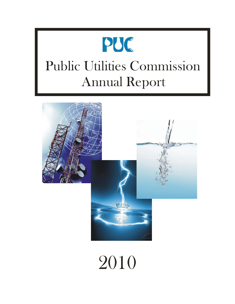



# 2010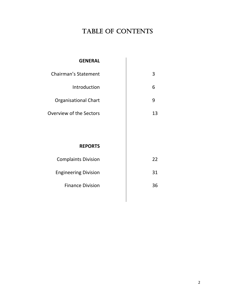# TABLE OF CONTENTS

## **GENERAL**

| <b>Chairman's Statement</b> |    |
|-----------------------------|----|
| Introduction                |    |
| <b>Organisational Chart</b> |    |
| Overview of the Sectors     | 13 |
|                             |    |

## **REPORTS**

| <b>Complaints Division</b>  | フフ |
|-----------------------------|----|
| <b>Engineering Division</b> | 31 |
| <b>Finance Division</b>     | 36 |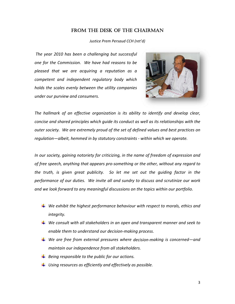## FROM THE DESK OF THE CHAIRMAN

Justice Prem Persaud CCH (ret'd)

The year 2010 has been a challenging but successful one for the Commission. We have had reasons to be pleased that we are acquiring a reputation as a competent and independent regulatory body which holds the scales evenly between the utility companies under our purview and consumers.



The hallmark of an effective organization is its ability to identify and develop clear, concise and shared principles which guide its conduct as well as its relationships with the outer society. We are extremely proud of the set of defined values and best practices on regulation—albeit, hemmed in by statutory constraints - within which we operate.

In our society, gaining notoriety for criticizing, in the name of freedom of expression and of free speech, anything that appears pro-something or the other, without any regard to the truth, is given great publicity. So let me set out the quiding factor in the performance of our duties. We invite all and sundry to discuss and scrutinize our work and we look forward to any meaningful discussions on the topics within our portfolio.

- $\ddag$  We exhibit the highest performance behaviour with respect to morals, ethics and *integrity.*
- $\perp$  We consult with all stakeholders in an open and transparent manner and seek to enable them to understand our decision-making process.
- $\perp$  We are free from external pressures where decision-making is concerned—and maintain our independence from all stakeholders.
- $\ddot{\bullet}$  Being responsible to the public for our actions.
- $\ddag$  Using resources as efficiently and effectively as possible.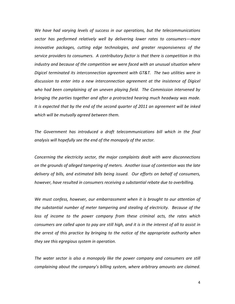*We have had varying levels of success in our operations, but the telecommunications sector has performed relatively well by delivering lower rates to consumers—more innovative packages, cutting edge technologies, and greater responsiveness of the service providers to consumers. A contributory factor is that there is competition in this industry and because of the competition we were faced with an unusual situation where Digicel terminated its interconnection agreement with GT&T. The two utilities were in discussion to enter into a new interconnection agreement at the insistence of Digicel who had been complaining of an uneven playing field. The Commission intervened by bringing the parties together and after a protracted hearing much headway was made. It is expected that by the end of the second quarter of 2011 an agreement will be inked which will be mutually agreed between them.*

*The Government has introduced a draft telecommunications bill which in the final analysis will hopefully see the end of the monopoly of the sector.*

*Concerning the electricity sector, the major complaints dealt with were disconnections on the grounds of alleged tampering of meters. Another issue of contention was the late delivery of bills, and estimated bills being issued. Our efforts on behalf of consumers, however, have resulted in consumers receiving a substantial rebate due to overbilling.*

*We must confess, however, our embarrassment when it is brought to our attention of the substantial number of meter tampering and stealing of electricity. Because of the loss of income to the power company from these criminal acts, the rates which* consumers are called upon to pay are still high, and it is in the interest of all to assist in *the arrest of this practice by bringing to the notice of the appropriate authority when they see this egregious system in operation.*

*The water sector is also a monopoly like the power company and consumers are still complaining about the company's billing system, where arbitrary amounts are claimed.*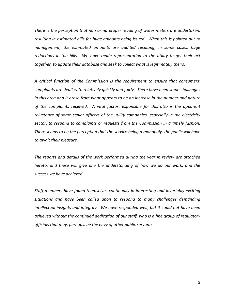*There is the perception that non or no proper reading of water meters are undertaken, resulting in estimated bills for huge amounts being issued. When this is pointed out to management, the estimated amounts are audited resulting, in some cases, huge reductions in the bills. We have made representation to the utility to get their act together, to update their database and seek to collect what is legitimately theirs.*

*A critical function of the Commission is the requirement to ensure that consumers' complaints are dealt with relatively quickly and fairly. There have been some challenges in this area and it arose from what appears to be an increase in the number and nature of the complaints received. A vital factor responsible for this also is the apparent reluctance of some senior officers of the utility companies, especially in the electricity sector, to respond to complaints or requests from the Commission in a timely fashion. There seems to be the perception that the service being a monopoly, the public will have to await their pleasure.* 

*The reports and details of the work performed during the year in review are attached hereto, and these will give one the understanding of how we do our work, and the success we have achieved.*

*Staff members have found themselves continually in interesting and invariably exciting situations and have been called upon to respond to many challenges demanding intellectual insights and integrity. We have responded well, but it could not have been achieved without the continued dedication of our staff, who is a fine group of regulatory officials that may, perhaps, be the envy of other public servants.*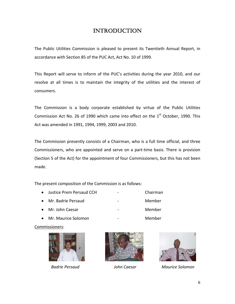# INTRODUCTION

The Public Utilities Commission is pleased to present its Twentieth Annual Report, in accordance with Section 85 of the PUC Act, Act No. 10 of 1999.

This Report will serve to inform of the PUC's activities during the year 2010, and our resolve at all times is to maintain the integrity of the utilities and the interest of consumers.

The Commission is a body corporate established by virtue of the Public Utilities Commission Act No. 26 of 1990 which came into effect on the  $1<sup>st</sup>$  October, 1990. This Act was amended in 1991, 1994, 1999, 2003 and 2010.

The Commission presently consists of a Chairman, who is a full time official, and three Commissioners, who are appointed and serve on a part‐time basis. There is provision (Section 5 of the Act) for the appointment of four Commissioners, but this has not been made.

The present composition of the Commission is as follows:

• Justice Prem Persaud CCH ‐ Chairman • Mr. Badrie Persaud ‐ Member • Mr. John Caesar ‐ Member • Mr. Maurice Solomon ‐ Member

Commissioners:







 *Badrie Persaud John Caesar Maurice Solomon*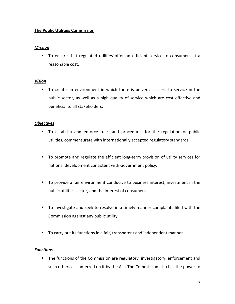## **The Public Utilities Commission**

## *Mission*

 To ensure that regulated utilities offer an efficient service to consumers at a reasonable cost.

## *Vision*

 To create an environment in which there is universal access to service in the public sector, as well as a high quality of service which are cost effective and beneficial to all stakeholders.

## *Objectives*

- To establish and enforce rules and procedures for the regulation of public utilities, commensurate with internationally accepted regulatory standards.
- To promote and regulate the efficient long-term provision of utility services for national development consistent with Government policy.
- To provide a fair environment conducive to business interest, investment in the public utilities sector, and the interest of consumers.
- To investigate and seek to resolve in a timely manner complaints filed with the Commission against any public utility.
- To carry out its functions in a fair, transparent and independent manner.

## *Functions*

 The functions of the Commission are regulatory, investigatory, enforcement and such others as conferred on it by the Act. The Commission also has the power to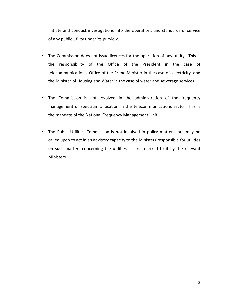initiate and conduct investigations into the operations and standards of service of any public utility under its purview.

- **The Commission does not issue licences for the operation of any utility. This is** the responsibility of the Office of the President in the case of telecommunications, Office of the Prime Minister in the case of electricity, and the Minister of Housing and Water in the case of water and sewerage services.
- **The Commission is not involved in the administration of the frequency** management or spectrum allocation in the telecommunications sector. This is the mandate of the National Frequency Management Unit.
- **The Public Utilities Commission is not involved in policy matters, but may be** called upon to act in an advisory capacity to the Ministers responsible for utilities on such matters concerning the utilities as are referred to it by the relevant Ministers.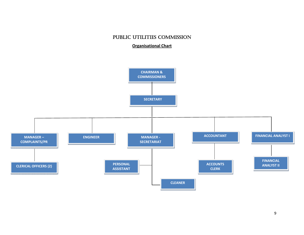## PUBLIC UTILITIES COMMISSION

**Organisational Chart**

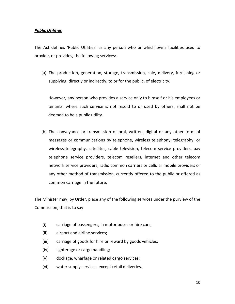## *Public Utilities*

The Act defines 'Public Utilities' as any person who or which owns facilities used to provide, or provides, the following services:‐

(a) The production, generation, storage, transmission, sale, delivery, furnishing or supplying, directly or indirectly, to or for the public, of electricity.

However, any person who provides a service only to himself or his employees or tenants, where such service is not resold to or used by others, shall not be deemed to be a public utility.

(b) The conveyance or transmission of oral, written, digital or any other form of messages or communications by telephone, wireless telephony, telegraphy; or wireless telegraphy, satellites, cable television, telecom service providers, pay telephone service providers, telecom resellers, internet and other telecom network service providers, radio common carriers or cellular mobile providers or any other method of transmission, currently offered to the public or offered as common carriage in the future.

The Minister may, by Order, place any of the following services under the purview of the Commission, that is to say:

- (i) carriage of passengers, in motor buses or hire cars;
- (ii) airport and airline services;
- (iii) carriage of goods for hire or reward by goods vehicles;
- (iv) lighterage or cargo handling;
- (v) dockage, wharfage or related cargo services;
- (vi) water supply services, except retail deliveries.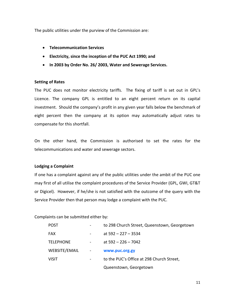The public utilities under the purview of the Commission are:

- **Telecommunication Services**
- **Electricity, since the inception of the PUC Act 1990; and**
- **In 2003 by Order No. 26/ 2003, Water and Sewerage Services.**

## **Setting of Rates**

The PUC does not monitor electricity tariffs. The fixing of tariff is set out in GPL's Licence. The company GPL is entitled to an eight percent return on its capital investment. Should the company's profit in any given year falls below the benchmark of eight percent then the company at its option may automatically adjust rates to compensate for this shortfall.

On the other hand, the Commission is authorised to set the rates for the telecommunications and water and sewerage sectors.

## **Lodging a Complaint**

If one has a complaint against any of the public utilities under the ambit of the PUC one may first of all utilise the complaint procedures of the Service Provider (GPL, GWI, GT&T or Digicel). However, if he/she is not satisfied with the outcome of the query with the Service Provider then that person may lodge a complaint with the PUC.

Complaints can be submitted either by:

| <b>POST</b>      |            | to 298 Church Street, Queenstown, Georgetown |
|------------------|------------|----------------------------------------------|
| <b>FAX</b>       |            | at $592 - 227 - 3534$                        |
| <b>TELEPHONE</b> |            | at $592 - 226 - 7042$                        |
| WEBSITE/EMAIL    | $\sim$ $-$ | www.puc.org.gy                               |
| <b>VISIT</b>     |            | to the PUC's Office at 298 Church Street,    |
|                  |            | Queenstown, Georgetown                       |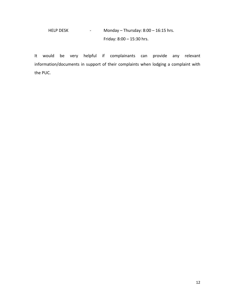# HELP DESK ‐ Monday – Thursday: 8:00 – 16:15 hrs. Friday: 8:00 – 15:30 hrs.

It would be very helpful if complainants can provide any relevant information/documents in support of their complaints when lodging a complaint with the PUC.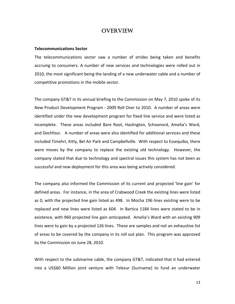## **OVERVIEW**

#### **Telecommunications Sector**

The telecommunications sector saw a number of strides being taken and benefits accruing to consumers. A number of new services and technologies were rolled out in 2010, the most significant being the landing of a new underwater cable and a number of competitive promotions in the mobile sector.

The company GT&T in its annual briefing to the Commission on May 7, 2010 spoke of its New Product Development Program ‐ 2009 Roll Over to 2010. A number of areas were identified under the new development program for fixed line service and were listed as incomplete. These areas included Bare Root, Haslington, Schoonord, Amelia's Ward, and Dochfour. A number of areas were also identified for additional services and these included Timehri, Kitty, Bel Air Park and Campbellville. With respect to Essequibo, there were moves by the company to replace the existing old technology. However, the company stated that due to technology and spectral issues this system has not been as successful and new deployment for this area was being actively considered.

The company also informed the Commission of its current and projected 'line gain' for defined areas. For instance, in the area of Crabwood Creek the existing lines were listed as 0, with the projected line gain listed as 498. In Mocha 196 lines existing were to be replaced and new lines were listed as 604. In Bartica 1184 lines were stated to be in existence, with 960 projected line gain anticipated. Amelia's Ward with an existing 909 lines were to gain by a projected 126 lines. These are samples and not an exhaustive list of areas to be covered by the company in its roll out plan. This program was approved by the Commission on June 28, 2010.

With respect to the submarine cable, the company GT&T, indicated that it had entered into a US\$60 Million joint venture with Telesur (Suriname) to fund an underwater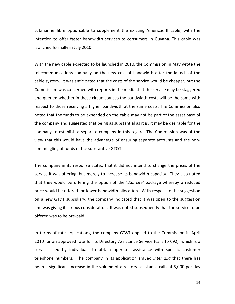submarine fibre optic cable to supplement the existing Americas II cable, with the intention to offer faster bandwidth services to consumers in Guyana. This cable was launched formally in July 2010.

With the new cable expected to be launched in 2010, the Commission in May wrote the telecommunications company on the new cost of bandwidth after the launch of the cable system. It was anticipated that the costs of the service would be cheaper, but the Commission was concerned with reports in the media that the service may be staggered and queried whether in these circumstances the bandwidth costs will be the same with respect to those receiving a higher bandwidth at the same costs. The Commission also noted that the funds to be expended on the cable may not be part of the asset base of the company and suggested that being as substantial as it is, it may be desirable for the company to establish a separate company in this regard. The Commission was of the view that this would have the advantage of ensuring separate accounts and the non‐ commingling of funds of the substantive GT&T.

The company in its response stated that it did not intend to change the prices of the service it was offering, but merely to increase its bandwidth capacity. They also noted that they would be offering the option of the '*DSL Lite'* package whereby a reduced price would be offered for lower bandwidth allocation. With respect to the suggestion on a new GT&T subsidiary, the company indicated that it was open to the suggestion and was giving it serious consideration. It was noted subsequently that the service to be offered was to be pre‐paid.

In terms of rate applications, the company GT&T applied to the Commission in April 2010 for an approved rate for its Directory Assistance Service (calls to 092), which is a service used by individuals to obtain operator assistance with specific customer telephone numbers. The company in its application argued *inter alia* that there has been a significant increase in the volume of directory assistance calls at 5,000 per day

14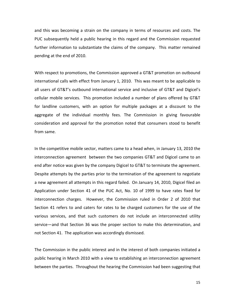and this was becoming a strain on the company in terms of resources and costs. The PUC subsequently held a public hearing in this regard and the Commission requested further information to substantiate the claims of the company. This matter remained pending at the end of 2010.

With respect to promotions, the Commission approved a GT&T promotion on outbound international calls with effect from January 1, 2010. This was meant to be applicable to all users of GT&T's outbound international service and inclusive of GT&T and Digicel's cellular mobile services. This promotion included a number of plans offered by GT&T for landline customers, with an option for multiple packages at a discount to the aggregate of the individual monthly fees. The Commission in giving favourable consideration and approval for the promotion noted that consumers stood to benefit from same.

In the competitive mobile sector, matters came to a head when, in January 13, 2010 the interconnection agreement between the two companies GT&T and Digicel came to an end after notice was given by the company Digicel to GT&T to terminate the agreement. Despite attempts by the parties prior to the termination of the agreement to negotiate a new agreement all attempts in this regard failed. On January 14, 2010, Digicel filed an Application under Section 41 of the PUC Act, No. 10 of 1999 to have rates fixed for interconnection charges. However, the Commission ruled in Order 2 of 2010 that Section 41 refers to and caters for rates to be charged customers for the use of the various services, and that such customers do not include an interconnected utility service—and that Section 36 was the proper section to make this determination, and not Section 41. The application was accordingly dismissed.

The Commission in the public interest and in the interest of both companies initiated a public hearing in March 2010 with a view to establishing an interconnection agreement between the parties. Throughout the hearing the Commission had been suggesting that

15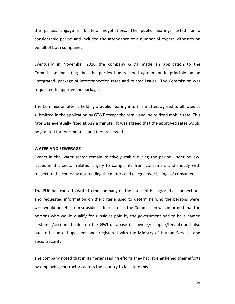the parties engage in bilateral negotiations. The public hearings lasted for a considerable period and included the attendance of a number of expert witnesses on behalf of both companies.

Eventually in November 2010 the company GT&T made an application to the Commission indicating that the parties had reached agreement in principle on an 'integrated' package of interconnection rates and related issues. The Commission was requested to approve the package.

The Commission after a holding a public hearing into this matter, agreed to all rates as submitted in the application by GT&T except the retail landline to fixed mobile rate. This rate was eventually fixed at \$12 a minute. It was agreed that the approved rates would be granted for four months, and then reviewed.

## **WATER AND SEWERAGE**

Events in the water sector remain relatively stable during the period under review. Issues in this sector related largely to complaints from consumers and mostly with respect to the company not reading the meters and alleged over billings of consumers.

The PUC had cause to write to the company on the issues of billings and disconnections and requested information on the criteria used to determine who the persons were, who would benefit from subsidies. In response, the Commission was informed that the persons who would qualify for subsidies paid by the government had to be a named customer/account holder on the GWI database (as owner/occupier/tenant) and also had to be an old age pensioner registered with the Ministry of Human Services and Social Security.

The company noted that in its meter reading efforts they had strengthened their efforts by employing contractors across the country to facilitate this.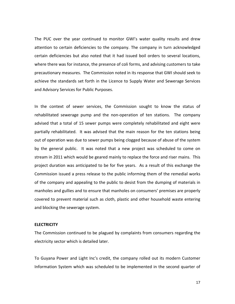The PUC over the year continued to monitor GWI's water quality results and drew attention to certain deficiencies to the company. The company in turn acknowledged certain deficiencies but also noted that it had issued boil orders to several locations, where there was for instance, the presence of coli forms, and advising customers to take precautionary measures. The Commission noted in its response that GWI should seek to achieve the standards set forth in the Licence to Supply Water and Sewerage Services and Advisory Services for Public Purposes.

In the context of sewer services, the Commission sought to know the status of rehabilitated sewerage pump and the non-operation of ten stations. The company advised that a total of 15 sewer pumps were completely rehabilitated and eight were partially rehabilitated. It was advised that the main reason for the ten stations being out of operation was due to sewer pumps being clogged because of abuse of the system by the general public. It was noted that a new project was scheduled to come on stream in 2011 which would be geared mainly to replace the force and riser mains. This project duration was anticipated to be for five years. As a result of this exchange the Commission issued a press release to the public informing them of the remedial works of the company and appealing to the public to desist from the dumping of materials in manholes and gullies and to ensure that manholes on consumers' premises are properly covered to prevent material such as cloth, plastic and other household waste entering and blocking the sewerage system.

## **ELECTRICITY**

The Commission continued to be plagued by complaints from consumers regarding the electricity sector which is detailed later.

To Guyana Power and Light Inc's credit, the company rolled out its modern Customer Information System which was scheduled to be implemented in the second quarter of

17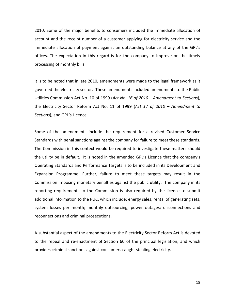2010. Some of the major benefits to consumers included the immediate allocation of account and the receipt number of a customer applying for electricity service and the immediate allocation of payment against an outstanding balance at any of the GPL's offices. The expectation in this regard is for the company to improve on the timely processing of monthly bills.

It is to be noted that in late 2010, amendments were made to the legal framework as it governed the electricity sector. These amendments included amendments to the Public Utilities Commission Act No. 10 of 1999 (*Act No. 16 of 2010 – Amendment to Sections*), the Electricity Sector Reform Act No. 11 of 1999 (*Act 17 of 2010 – Amendment to Sections*), and GPL's Licence.

Some of the amendments include the requirement for a revised Customer Service Standards with penal sanctions against the company for failure to meet these standards. The Commission in this context would be required to investigate these matters should the utility be in default. It is noted in the amended GPL's Licence that the company's Operating Standards and Performance Targets is to be included in its Development and Expansion Programme. Further, failure to meet these targets may result in the Commission imposing monetary penalties against the public utility. The company in its reporting requirements to the Commission is also required by the licence to submit additional information to the PUC, which include: energy sales; rental of generating sets, system losses per month; monthly outsourcing; power outages; disconnections and reconnections and criminal prosecutions.

A substantial aspect of the amendments to the Electricity Sector Reform Act is devoted to the repeal and re‐enactment of Section 60 of the principal legislation, and which provides criminal sanctions against consumers caught stealing electricity.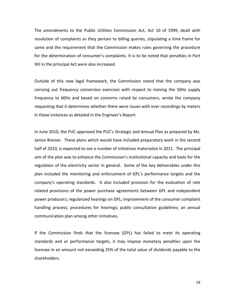The amendments to the Public Utilities Commission Act, Act 10 of 1999, dealt with resolution of complaints as they pertain to billing queries, stipulating a time frame for same and the requirement that the Commission makes rules governing the procedure for the determination of consumer's complaints. It is to be noted that penalties in Part XIII in the principal Act were also increased.

Outside of this new legal framework, the Commission noted that the company was carrying out frequency conversion exercises with respect to moving the 50Hz supply frequency to 60Hz and based on concerns raised by consumers, wrote the company requesting that it determines whether there were issues with over recordings by meters in these instances as detailed in the Engineer's Report.

In June 2010, the PUC approved the PUC's Strategic and Annual Plan as prepared by Ms. Janice Brenan. These plans which would have included preparatory work in the second half of 2010, is expected to see a number of initiatives materialize in 2011. The principal aim of the plan was to enhance the Commission's institutional capacity and tools for the regulation of the electricity sector in general. Some of the key deliverables under this plan included the monitoring and enforcement of GPL's performance targets and the company's operating standards. It also included provision for the evaluation of rate related provisions of the power purchase agreements between GPL and independent power producers; regularized hearings on GPL; improvement of the consumer complaint handling process; procedures for hearings; public consultation guidelines; an annual communication plan among other initiatives.

If the Commission finds that the licensee (GPL) has failed to meet its operating standards and or performance targets, it may impose monetary penalties upon the licensee in an amount not exceeding 25% of the total value of dividends payable to the shareholders.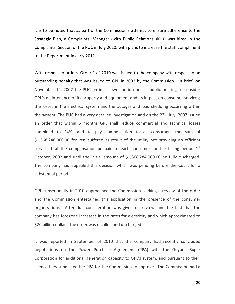It is to be noted that as part of the Commission's attempt to ensure adherence to the Strategic Plan, a Complaints' Manager (with Public Relations skills) was hired in the Complaints' Section of the PUC in July 2010, with plans to increase the staff compliment to the Department in early 2011.

With respect to orders, Order 1 of 2010 was issued to the company with respect to an outstanding penalty that was issued to GPL in 2002 by the Commission. In brief, on November 12, 2002 the PUC on in its own motion held a public hearing to consider GPL's maintenance of its property and equipment and its impact on consumer services; the losses in the electrical system and the outages and load shedding occurring within the system. The PUC had a very detailed investigation and on the 23<sup>rd</sup> July, 2002 issued an order that within 6 months GPL shall reduce commercial and technical losses combined to 24%; and to pay compensation to all consumers the sum of \$1,368,248,000.00 for loss suffered as result of the utility not providing an efficient service; that the compensation be paid to each consumer for the billing period  $1<sup>st</sup>$ October, 2002 and until the initial amount of \$1,368,284,000.00 be fully discharged. The company had appealed this decision which was pending before the Court for a substantial period.

GPL subsequently in 2010 approached the Commission seeking a review of the order and the Commission entertained this application in the presence of the consumer organizations. After due consideration was given on review, and the fact that the company has foregone increases in the rates for electricity and which approximated to \$20 billion dollars, the order was recalled and discharged.

It was reported in September of 2010 that the company had recently concluded negotiations on the Power Purchase Agreement (PPA) with the Guyana Sugar Corporation for additional generation capacity to GPL's system, and pursuant to their licence they submitted the PPA for the Commission to approve. The Commission had a

20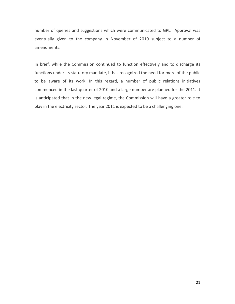number of queries and suggestions which were communicated to GPL. Approval was eventually given to the company in November of 2010 subject to a number of amendments.

In brief, while the Commission continued to function effectively and to discharge its functions under its statutory mandate, it has recognized the need for more of the public to be aware of its work. In this regard, a number of public relations initiatives commenced in the last quarter of 2010 and a large number are planned for the 2011. It is anticipated that in the new legal regime, the Commission will have a greater role to play in the electricity sector. The year 2011 is expected to be a challenging one.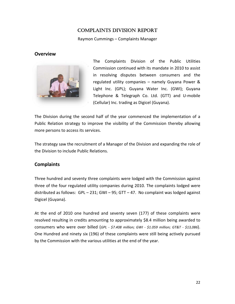## **COMPLAINTS DIVISION REPORT**

Raymon Cummings - Complaints Manager

## **Overview**



Complaints Division of the Public Utilities The Commission continued with its mandate in 2010 to assist in resolving disputes between consumers and the regulated utility companies - namely Guyana Power & Light Inc. (GPL); Guyana Water Inc. (GWI); Guyana Telephone & Telegraph Co. Ltd. (GTT) and U-mobile (Cellular) Inc. trading as Digicel (Guyana).

The Division during the second half of the year commenced the implementation of a Public Relation strategy to improve the visibility of the Commission thereby allowing more persons to access its services.

The strategy saw the recruitment of a Manager of the Division and expanding the role of the Division to include Public Relations.

## **Complaints**

Three hundred and seventy three complaints were lodged with the Commission against three of the four regulated utility companies during 2010. The complaints lodged were distributed as follows:  $GPL - 231$ ;  $GWI - 95$ ;  $GTT - 47$ . No complaint was lodged against Digicel (Guyana).

At the end of 2010 one hundred and seventy seven (177) of these complaints were resolved resulting in credits amounting to approximately \$8.4 million being awarded to consumers who were over billed (GPL - \$7.408 million; GWI - \$1.059 million; GT&T - \$13,086). One Hundred and ninety six (196) of these complaints were still being actively pursued by the Commission with the various utilities at the end of the year.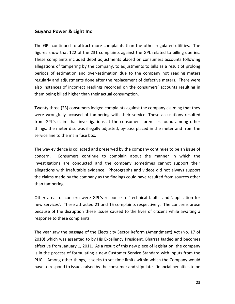## **Guyana Power & Light Inc**

The GPL continued to attract more complaints than the other regulated utilities. The figures show that 122 of the 231 complaints against the GPL related to billing queries. These complaints included debit adjustments placed on consumers accounts following allegations of tampering by the company, to adjustments to bills as a result of prolong periods of estimation and over‐estimation due to the company not reading meters regularly and adjustments done after the replacement of defective meters. There were also instances of incorrect readings recorded on the consumers' accounts resulting in them being billed higher than their actual consumption.

Twenty three (23) consumers lodged complaints against the company claiming that they were wrongfully accused of tampering with their service. These accusations resulted from GPL's claim that investigations at the consumers' premises found among other things, the meter disc was illegally adjusted, by‐pass placed in the meter and from the service line to the main fuse box.

The way evidence is collected and preserved by the company continues to be an issue of concern. Consumers continue to complain about the manner in which the investigations are conducted and the company sometimes cannot support their allegations with irrefutable evidence. Photographs and videos did not always support the claims made by the company as the findings could have resulted from sources other than tampering.

Other areas of concern were GPL's response to 'technical faults' and 'application for new services'. These attracted 21 and 15 complaints respectively. The concerns arose because of the disruption these issues caused to the lives of citizens while awaiting a response to these complaints.

The year saw the passage of the Electricity Sector Reform (Amendment) Act (No. 17 of 2010) which was assented to by His Excellency President, Bharrat Jagdeo and becomes effective from January 1, 2011. As a result of this new piece of legislation, the company is in the process of formulating a new Customer Service Standard with inputs from the PUC. Among other things, it seeks to set time limits within which the Company would have to respond to issues raised by the consumer and stipulates financial penalties to be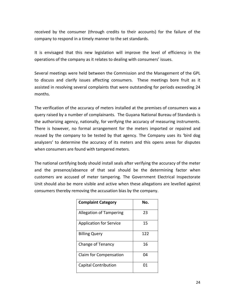received by the consumer (through credits to their accounts) for the failure of the company to respond in a timely manner to the set standards.

It is envisaged that this new legislation will improve the level of efficiency in the operations of the company as it relates to dealing with consumers' issues.

Several meetings were held between the Commission and the Management of the GPL to discuss and clarify issues affecting consumers. These meetings bore fruit as it assisted in resolving several complaints that were outstanding for periods exceeding 24 months.

The verification of the accuracy of meters installed at the premises of consumers was a query raised by a number of complainants. The Guyana National Bureau of Standards is the authorizing agency, nationally, for verifying the accuracy of measuring instruments. There is however, no formal arrangement for the meters imported or repaired and reused by the company to be tested by that agency. The Company uses its 'bird dog analyzers' to determine the accuracy of its meters and this opens areas for disputes when consumers are found with tampered meters.

The national certifying body should install seals after verifying the accuracy of the meter and the presence/absence of that seal should be the determining factor when customers are accused of meter tampering. The Government Electrical Inspectorate Unit should also be more visible and active when these allegations are levelled against consumers thereby removing the accusation bias by the company.

| <b>Complaint Category</b>      | No. |
|--------------------------------|-----|
| <b>Allegation of Tampering</b> | 23  |
| <b>Application for Service</b> | 15  |
| <b>Billing Query</b>           | 122 |
| Change of Tenancy              | 16  |
| Claim for Compensation         | 04  |
| <b>Capital Contribution</b>    | 01  |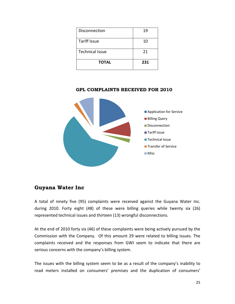| Disconnection          | 19  |
|------------------------|-----|
| <b>Tariff Issue</b>    | 10  |
| <b>Technical Issue</b> | 21  |
| <b>TOTAL</b>           | 231 |

**GPL COMPLAINTS RECEIVED FOR 2010** 



## **Guyana Water Inc**

A total of ninety five (95) complaints were received against the Guyana Water Inc. during 2010. Forty eight (48) of these were billing queries while twenty six (26) represented technical issues and thirteen (13) wrongful disconnections.

At the end of 2010 forty six (46) of these complaints were being actively pursued by the Commission with the Company. Of this amount 29 were related to billing issues. The complaints received and the responses from GWI seem to indicate that there are serious concerns with the company's billing system.

The issues with the billing system seem to be as a result of the company's inability to read meters installed on consumers' premises and the duplication of consumers'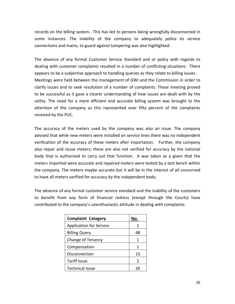records on the billing system. This has led to persons being wrongfully disconnected in some instances. The inability of the company to adequately police its service connections and mains, to guard against tampering was also highlighted.

The absence of any formal Customer Service Standard and or policy with regards to dealing with customer complaints resulted in a number of conflicting situations. There appears to be a subjective approach to handling queries as they relate to billing issues. Meetings were held between the management of GWI and the Commission in order to clarify issues and to seek resolution of a number of complaints. These meeting proved to be successful as it gave a clearer understanding of how issues are dealt with by the utility. The need for a more efficient and accurate billing system was brought to the attention of the company as this represented over fifty percent of the complaints received by the PUC.

The accuracy of the meters used by the company was also an issue. The company advised that while new meters were installed on service lines there was no independent verification of the accuracy of these meters after importation. Further, the company also repair and reuse meters; these are also not verified for accuracy by the national body that is authorized to carry out that function. It was taken as a given that the meters imported were accurate and repaired meters were tested by a test bench within the company. The meters maybe accurate but it will be in the interest of all concerned to have all meters verified for accuracy by the independent body.

The absence of any formal customer service standard and the inability of the customers to benefit from any form of financial redress (except through the Courts) have contributed to the company's unenthusiastic attitude in dealing with complaints.

| <b>Complaint Category</b>      | No.           |
|--------------------------------|---------------|
| <b>Application for Service</b> |               |
| <b>Billing Query</b>           | 48            |
| Change of Tenancy              | 1             |
| Compensation                   | 1             |
| Disconnection                  | 13            |
| <b>Tariff Issue</b>            | $\mathcal{P}$ |
| <b>Technical Issue</b>         |               |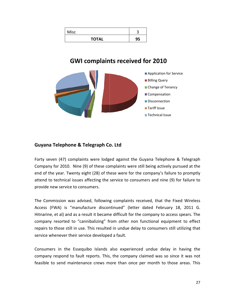| <b>Misc</b>  |    |
|--------------|----|
| <b>TOTAL</b> | 95 |

# **GWI complaints received for 2010**



## Guyana Telephone & Telegraph Co. Ltd

Forty seven (47) complaints were lodged against the Guyana Telephone & Telegraph Company for 2010. Nine (9) of these complaints were still being actively pursued at the end of the year. Twenty eight (28) of these were for the company's failure to promptly attend to technical issues affecting the service to consumers and nine (9) for failure to provide new service to consumers.

The Commission was advised, following complaints received, that the Fixed Wireless Access (FWA) is "manufacture discontinued" (letter dated February 18, 2011 G. Hitnarine, et al) and as a result it became difficult for the company to access spears. The company resorted to "cannibalizing" from other non functional equipment to effect repairs to those still in use. This resulted in undue delay to consumers still utilizing that service whenever their service developed a fault.

Consumers in the Essequibo Islands also experienced undue delay in having the company respond to fault reports. This, the company claimed was so since it was not feasible to send maintenance crews more than once per month to those areas. This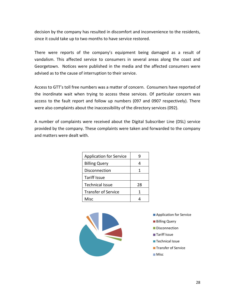decision by the company has resulted in discomfort and inconvenience to the residents, since it could take up to two months to have service restored.

There were reports of the company's equipment being damaged as a result of vandalism. This affected service to consumers in several areas along the coast and Georgetown. Notices were published in the media and the affected consumers were advised as to the cause of interruption to their service.

Access to GTT's toll free numbers was a matter of concern. Consumers have reported of the inordinate wait when trying to access these services. Of particular concern was access to the fault report and follow up numbers (097 and 0907 respectively). There were also complaints about the inaccessibility of the directory services (092).

A number of complaints were received about the Digital Subscriber Line (DSL) service provided by the company. These complaints were taken and forwarded to the company and matters were dealt with.

| <b>Application for Service</b> | g  |
|--------------------------------|----|
| <b>Billing Query</b>           |    |
| Disconnection                  | 1  |
| <b>Tariff Issue</b>            |    |
| <b>Technical Issue</b>         | 28 |
| <b>Transfer of Service</b>     | 1  |
| Misc                           |    |



- **Application for Service**
- **Billing Query**
- Disconnection
- **■Tariff Issue**
- **Technical Issue**
- **Transfer of Service**
- **Misc**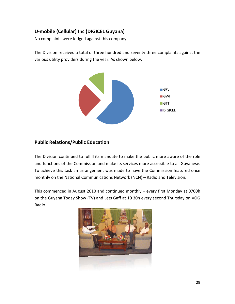## U-mobile (Cellular) Inc (DIGICEL Guyana)

No complaints were lodged against this company.

The Division received a total of three hundred and seventy three complaints against the various utility providers during the year. As shown below.



## **Public Relations/Public Education**

The Division continued to fulfill its mandate to make the public more aware of the role and functions of the Commission and make its services more accessible to all Guyanese. To achieve this task an arrangement was made to have the Commission featured once monthly on the National Communications Network (NCN) - Radio and Television.

This commenced in August 2010 and continued monthly - every first Monday at 0700h on the Guyana Today Show (TV) and Lets Gaff at 10 30h every second Thursday on VOG Radio.

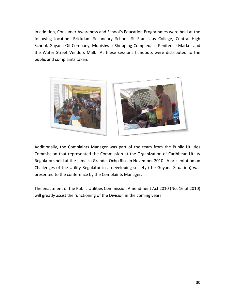In addition, Consumer Awareness and School's Education Programmes were held at the following location: Brickdam Secondary School, St Stanislaus College, Central High School, Guyana Oil Company, Munishwar Shopping Complex, La Penitence Market and the Water Street Vendors Mall. At these sessions handouts were distributed to the public and complaints taken.



Additionally, the Complaints Manager was part of the team from the Public Utilities Commission that represented the Commission at the Organization of Caribbean Utility Regulators held at the Jamaica Grande, Ocho Rios in November 2010. A presentation on Challenges of the Utility Regulator in a developing society (the Guyana Situation) was presented to the conference by the Complaints Manager.

The enactment of the Public Utilities Commission Amendment Act 2010 (No. 16 of 2010) will greatly assist the functioning of the Division in the coming years.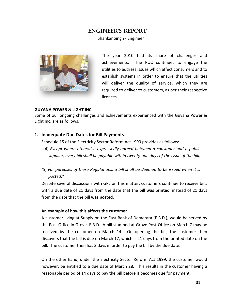# **ENGINEER'S REPORT**

Shankar Singh - Engineer



The year 2010 had its share of challenges and achievements. The PUC continues to engage the utilities to address issues which affect consumers and to establish systems in order to ensure that the utilities will deliver the quality of service, which they are required to deliver to customers, as per their respective licences.

## **GUYANA POWER & LIGHT INC**

Some of our ongoing challenges and achievements experienced with the Guyana Power & Light Inc. are as follows:

## 1. Inadequate Due Dates for Bill Payments

Schedule 15 of the Electricity Sector Reform Act 1999 provides as follows:

- "(4) Except where otherwise expressedly agreed between a consumer and a public supplier, every bill shall be payable within twenty-one days of the issue of the bill,  $\dddotsc$
- (5) For purposes of these Regulations, a bill shall be deemed to be issued when it is posted."

Despite several discussions with GPL on this matter, customers continue to receive bills with a due date of 21 days from the date that the bill was printed, instead of 21 days from the date that the bill was posted.

## An example of how this affects the customer

A customer living at Supply on the East Bank of Demerara (E.B.D.), would be served by the Post Office in Grove, E.B.D. A bill stamped at Grove Post Office on March 7 may be received by the customer on March 14. On opening the bill, the customer then discovers that the bill is due on March 17, which is 21 days from the printed date on the bill. The customer then has 2 days in order to pay the bill by the due date.

On the other hand, under the Electricity Sector Reform Act 1999, the customer would however, be entitled to a due date of March 28. This results in the customer having a reasonable period of 14 days to pay the bill before it becomes due for payment.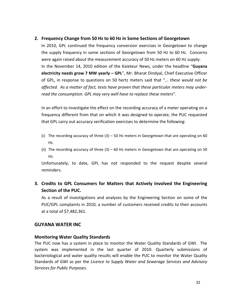## **2. Frequency Change from 50 Hz to 60 Hz in Some Sections of Georgetown**

In 2010, GPL continued the frequency conversion exercises in Georgetown to change the supply frequency in some sections of Georgetown from 50 Hz to 60 Hz. Concerns were again raised about the measurement accuracy of 50 Hz meters on 60 Hz supply. In the November 14, 2010 edition of the Kaieteur News, under the headline "**Guyana electricity needs grow 7 MW yearly – GPL**", Mr. Bharat Dindyal, Chief Executive Officer of GPL, in response to questions on 50 hertz meters said that "... *these would not be affected. As a matter of fact, tests have proven that these particular meters may under‐ read the consumption. GPL may very well have to replace these meters*".

In an effort to investigate the effect on the recording accuracy of a meter operating on a frequency different from that on which it was designed to operate, the PUC requested that GPL carry out accuracy verification exercises to determine the following:

- (i) The recording accuracy of three  $(3) 50$  Hz meters in Georgetown that are operating on 60 Hz.
- (ii) The recording accuracy of three  $(3) 60$  Hz meters in Georgetown that are operating on 50 Hz.

Unfortunately, to date, GPL has not responded to the request despite several reminders.

## **3. Credits to GPL Consumers for Matters that Actively Involved the Engineering Section of the PUC.**

As a result of investigations and analyses by the Engineering Section on some of the PUC/GPL complaints in 2010, a number of customers received credits to their accounts at a total of \$7,482,361.

## **GUYANA WATER INC**

## **Monitoring Water Quality Standards**

The PUC now has a system in place to monitor the Water Quality Standards of GWI. The system was implemented in the last quarter of 2010. Quarterly submissions of bacteriological and water quality results will enable the PUC to monitor the Water Quality Standards of GWI as per the *Licence to Supply Water and Sewerage Services and Advisory Services for Public Purposes*.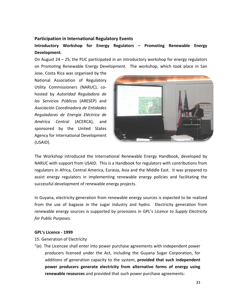## **Participation in International Regulatory Events**

## Introductory Workshop for Energy Regulators - Promoting Renewable Energy Development.

On August  $24 - 25$ , the PUC participated in an introductory workshop for energy regulators on Promoting Renewable Energy Development. The workshop, which took place in San

Jose, Costa Rica was organised by the National Association of Regulatory Utility Commissioners (NARUC), cohosted by Autoridad Reguladora de los Servicios Públicos (ARESEP) and Asociación Coordinadora de Entidades Reguladoras de Energía Eléctrica de América Central (ACERCA), and sponsored by the United States Agency for International Development (USAID).



The Workshop introduced the International Renewable Energy Handbook, developed by NARUC with support from USAID. This is a Handbook for regulators with contributions from regulators in Africa, Central America, Eurasia, Asia and the Middle East. It was prepared to assist energy regulators in implementing renewable energy policies and facilitating the successful development of renewable energy projects.

In Guyana, electricity generation from renewable energy sources is expected to be realized from the use of bagasse in the sugar industry and hydro. Electricity generation from renewable energy sources is supported by provisions in GPL's Licence to Supply Electricity for Public Purposes.

## GPL's Licence - 1999

- 15. Generation of Electricity
- "(e) The Licencee shall enter into power purchase agreements with independent power producers licensed under the Act, including the Guyana Sugar Corporation, for additions of generation capacity to the system, provided that such independent power producers generate electricity from alternative forms of energy using renewable resources and provided that such power purchase agreements: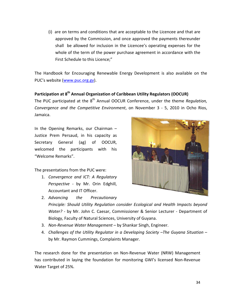(i) are on terms and conditions that are acceptable to the Licencee and that are approved by the Commission, and once approved the payments thereunder shall be allowed for inclusion in the Licencee's operating expenses for the whole of the term of the power purchase agreement in accordance with the First Schedule to this Licence:"

The Handbook for Encouraging Renewable Energy Development is also available on the PUC's website (www.puc.org.gy).

## Participation at 8<sup>th</sup> Annual Organization of Caribbean Utility Regulators (OOCUR)

The PUC participated at the 8<sup>th</sup> Annual OOCUR Conference, under the theme Regulation, Convergence and the Competitive Environment, on November 3 - 5, 2010 in Ocho Rios, Jamaica.

In the Opening Remarks, our Chairman -Justice Prem Persaud, in his capacity as Secretary General (ag) of OOCUR, welcomed the participants with his "Welcome Remarks".

The presentations from the PUC were:

1. Convergence and ICT: A Regulatory Perspective - by Mr. Orin Edghill, Accountant and IT Officer.



- 2. Advancing the Precautionary Principle: Should Utility Regulation consider Ecological and Health Impacts beyond Water? - by Mr. John C. Caesar, Commissioner & Senior Lecturer - Department of Biology, Faculty of Natural Sciences, University of Guyana.
- 3. Non-Revenue Water Management by Shankar Singh, Engineer.
- 4. Challenges of the Utility Regulator in a Developing Society -The Guyana Situation by Mr. Raymon Cummings, Complaints Manager.

The research done for the presentation on Non-Revenue Water (NRW) Management has contributed in laying the foundation for monitoring GWI's licensed Non-Revenue Water Target of 25%.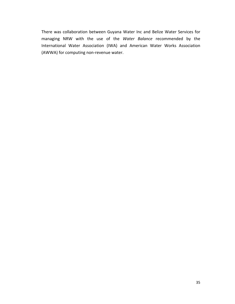There was collaboration between Guyana Water Inc and Belize Water Services for managing NRW with the use of the *Water Balance* recommended by the International Water Association (IWA) and American Water Works Association (AWWA) for computing non‐revenue water.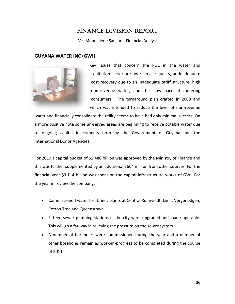# **FINANCE DIVISION REPORT**

Mr. Moorsalene Sankar - Financial Analyst

## **GUYANA WATER INC (GWI)**



Key issues that concern the PUC in the water and sanitation sector are poor service quality, an inadequate cost recovery due to an inadequate tariff structure, high non-revenue water, and the slow pace of metering consumers. The turnaround plan crafted in 2008 and which was intended to reduce the level of non-revenue

water and financially consolidate the utility seems to have had only minimal success. On a more positive note some un-served areas are beginning to receive potable water due to ongoing capital investments both by the Government of Guyana and the International Donor Agencies.

For 2010 a capital budget of \$2.480 billion was approved by the Ministry of Finance and this was further supplemented by an additional \$664 million from other sources. For the financial year \$3.114 billion was spent on the capital infrastructure works of GWI. For the year in review the company:

- Commissioned water treatment plants at Central Ruimveldt, Lima, Vergenodgen, Cotton Tree and Queenstown.
- Fifteen sewer pumping stations in the city were upgraded and made operable. This will go a far way in relieving the pressure on the sewer system.
- A number of boreholes were commissioned during the year and a number of other boreholes remain as work-in-progress to be completed during the course of 2011.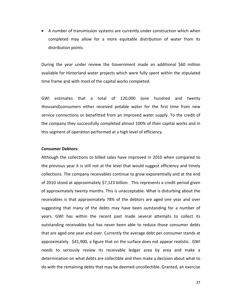• A number of transmission systems are currently under construction which when completed may allow for a more equitable distribution of water from its distribution points.

During the year under review the Government made an additional \$60 million available for Hinterland water projects which were fully spent within the stipulated time frame and with most of the capital works completed.

GWI estimates that a total of 120,000 (one hundred and twenty thousand)consumers either received potable water for the first time from new service connections or benefitted from an improved water supply. To the credit of the company they successfully completed almost 100% of their capital works and in this segment of operation performed at a high level of efficiency.

#### **Consumer Debtors:**

Although the collections to billed sales have improved in 2010 when compared to the previous year it is still not at the level that would suggest efficiency and timely collections. The company receivables continue to grow exponentially and at the end of 2010 stood at approximately \$7,123 billion. This represents a credit period given of approximately twenty months. This is unacceptable. What is disturbing about the receivables is that approximately 78% of the debtors are aged one year and over suggesting that many of the debts may have been outstanding for a number of years. GWI has within the recent past made several attempts to collect its outstanding receivables but has never been able to reduce those consumer debts that are aged one year and over. Currently the average debt per consumer stands at approximately \$41,900, a figure that on the surface does not appear realistic. GWI needs to seriously review its receivable ledger area by area and make a determination on what debts are collectible and then make a decision about what to do with the remaining debts that may be deemed uncollectible. Granted, an exercise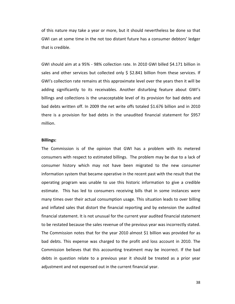of this nature may take a year or more, but it should nevertheless be done so that GWI can at some time in the not too distant future has a consumer debtors' ledger that is credible.

GWI should aim at a 95% ‐ 98% collection rate. In 2010 GWI billed \$4.171 billion in sales and other services but collected only \$ \$2.841 billion from these services. If GWI's collection rate remains at this approximate level over the years then it will be adding significantly to its receivables. Another disturbing feature about GWI's billings and collections is the unacceptable level of its provision for bad debts and bad debts written off. In 2009 the net write offs totaled \$1.676 billion and in 2010 there is a provision for bad debts in the unaudited financial statement for \$957 million.

#### **Billings:**

The Commission is of the opinion that GWI has a problem with its metered consumers with respect to estimated billings. The problem may be due to a lack of consumer history which may not have been migrated to the new consumer information system that became operative in the recent past with the result that the operating program was unable to use this historic information to give a credible estimate. This has led to consumers receiving bills that in some instances were many times over their actual consumption usage. This situation leads to over billing and inflated sales that distort the financial reporting and by extension the audited financial statement. It is not unusual for the current year audited financial statement to be restated because the sales revenue of the previous year was incorrectly stated. The Commission notes that for the year 2010 almost \$1 billion was provided for as bad debts. This expense was charged to the profit and loss account in 2010. The Commission believes that this accounting treatment may be incorrect. If the bad debts in question relate to a previous year it should be treated as a prior year adjustment and not expensed out in the current financial year.

38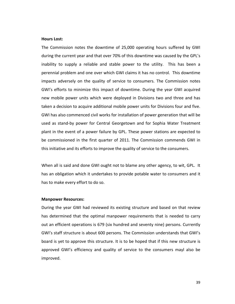#### **Hours Lost:**

The Commission notes the downtime of 25,000 operating hours suffered by GWI during the current year and that over 70% of this downtime was caused by the GPL's inability to supply a reliable and stable power to the utility. This has been a perennial problem and one over which GWI claims it has no control. This downtime impacts adversely on the quality of service to consumers. The Commission notes GWI's efforts to minimize this impact of downtime. During the year GWI acquired new mobile power units which were deployed in Divisions two and three and has taken a decision to acquire additional mobile power units for Divisions four and five. GWI has also commenced civil works for installation of power generation that will be used as stand‐by power for Central Georgetown and for Sophia Water Treatment plant in the event of a power failure by GPL. These power stations are expected to be commissioned in the first quarter of 2011. The Commission commends GWI in this initiative and its efforts to improve the quality of service to the consumers.

When all is said and done GWI ought not to blame any other agency, to wit, GPL. It has an obligation which it undertakes to provide potable water to consumers and it has to make every effort to do so.

#### **Manpower Resources:**

During the year GWI had reviewed its existing structure and based on that review has determined that the optimal manpower requirements that is needed to carry out an efficient operations is 679 (six hundred and seventy nine) persons. Currently GWI's staff structure is about 600 persons. The Commission understands that GWI's board is yet to approve this structure. It is to be hoped that if this new structure is approved GWI's efficiency and quality of service to the consumers mayl also be improved.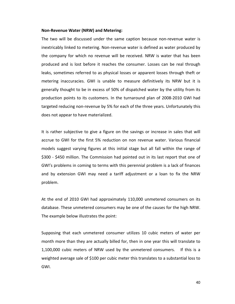#### **Non‐Revenue Water (NRW) and Metering:**

The two will be discussed under the same caption because non-revenue water is inextricably linked to metering. Non‐revenue water is defined as water produced by the company for which no revenue will be received. NRW is water that has been produced and is lost before it reaches the consumer. Losses can be real through leaks, sometimes referred to as physical losses or apparent losses through theft or metering inaccuracies. GWI is unable to measure definitively its NRW but it is generally thought to be in excess of 50% of dispatched water by the utility from its production points to its customers. In the turnaround plan of 2008‐2010 GWI had targeted reducing non‐revenue by 5% for each of the three years. Unfortunately this does not appear to have materialized.

It is rather subjective to give a figure on the savings or increase in sales that will accrue to GWI for the first 5% reduction on non revenue water. Various financial models suggest varying figures at this initial stage but all fall within the range of \$300 - \$450 million. The Commission had pointed out in its last report that one of GWI's problems in coming to terms with this perennial problem is a lack of finances and by extension GWI may need a tariff adjustment or a loan to fix the NRW problem.

At the end of 2010 GWI had approximately 110,000 unmetered consumers on its database. These unmetered consumers may be one of the causes for the high NRW. The example below illustrates the point:

Supposing that each unmetered consumer utilizes 10 cubic meters of water per month more than they are actually billed for, then in one year this will translate to 1,100,000 cubic meters of NRW used by the unmetered consumers. If this is a weighted average sale of \$100 per cubic meter this translates to a substantial loss to GWI.

40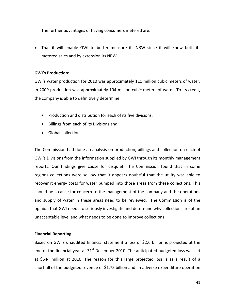The further advantages of having consumers metered are:

• That it will enable GWI to better measure its NRW since it will know both its metered sales and by extension its NRW.

## **GWI's Production:**

GWI's water production for 2010 was approximately 111 million cubic meters of water. In 2009 production was approximately 104 million cubic meters of water. To its credit, the company is able to definitively determine:

- Production and distribution for each of its five divisions.
- Billings from each of its Divisions and
- Global collections

The Commission had done an analysis on production, billings and collection on each of GWI's Divisions from the information supplied by GWI through its monthly management reports. Our findings give cause for disquiet. The Commission found that in some regions collections were so low that it appears doubtful that the utility was able to recover it energy costs for water pumped into those areas from these collections. This should be a cause for concern to the management of the company and the operations and supply of water in these areas need to be reviewed. The Commission is of the opinion that GWI needs to seriously investigate and determine why collections are at an unacceptable level and what needs to be done to improve collections.

## **Financial Reporting:**

Based on GWI's unaudited financial statement a loss of \$2.6 billion is projected at the end of the financial year at  $31<sup>st</sup>$  December 2010. The anticipated budgeted loss was set at \$644 million at 2010. The reason for this large projected loss is as a result of a shortfall of the budgeted revenue of \$1.75 billion and an adverse expenditure operation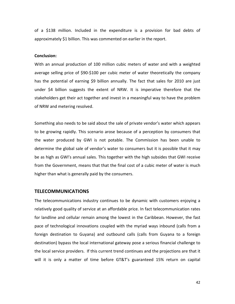of a \$138 million. Included in the expenditure is a provision for bad debts of approximately \$1 billion. This was commented on earlier in the report.

#### **Conclusion:**

With an annual production of 100 million cubic meters of water and with a weighted average selling price of \$90‐\$100 per cubic meter of water theoretically the company has the potential of earning \$9 billion annually. The fact that sales for 2010 are just under \$4 billion suggests the extent of NRW. It is imperative therefore that the stakeholders get their act together and invest in a meaningful way to have the problem of NRW and metering resolved.

Something also needs to be said about the sale of private vendor's water which appears to be growing rapidly. This scenario arose because of a perception by consumers that the water produced by GWI is not potable. The Commission has been unable to determine the global sale of vendor's water to consumers but it is possible that it may be as high as GWI's annual sales. This together with the high subsides that GWI receive from the Government, means that that the final cost of a cubic meter of water is much higher than what is generally paid by the consumers.

## **TELECOMMUNICATIONS**

The telecommunications industry continues to be dynamic with customers enjoying a relatively good quality of service at an affordable price. In fact telecommunication rates for landline and cellular remain among the lowest in the Caribbean. However, the fast pace of technological innovations coupled with the myriad ways inbound (calls from a foreign destination to Guyana) and outbound calls (calls from Guyana to a foreign destination) bypass the local international gateway pose a serious financial challenge to the local service providers. If this current trend continues and the projections are that it will it is only a matter of time before GT&T's guaranteed 15% return on capital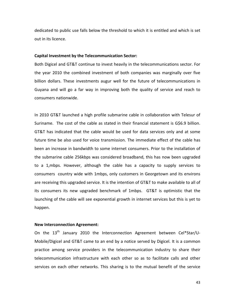dedicated to public use falls below the threshold to which it is entitled and which is set out in its licence.

#### **Capital Investment by the Telecommunication Sector:**

Both Digicel and GT&T continue to invest heavily in the telecommunications sector. For the year 2010 the combined investment of both companies was marginally over five billion dollars. These investments augur well for the future of telecommunications in Guyana and will go a far way in improving both the quality of service and reach to consumers nationwide.

In 2010 GT&T launched a high profile submarine cable in collaboration with Telesur of Suriname. The cost of the cable as stated in their financial statement is G\$6.9 billion. GT&T has indicated that the cable would be used for data services only and at some future time be also used for voice transmission. The immediate effect of the cable has been an increase in bandwidth to some internet consumers. Prior to the installation of the submarine cable 256kbps was considered broadband, this has now been upgraded to a 1,mbps. However, although the cable has a capacity to supply services to consumers country wide with 1mbps, only customers in Georgetown and its environs are receiving this upgraded service. It is the intention of GT&T to make available to all of its consumers its new upgraded benchmark of 1mbps. GT&T is optimistic that the launching of the cable will see exponential growth in internet services but this is yet to happen.

## **New Interconnection Agreement:**

On the  $13<sup>th</sup>$  January 2010 the Interconnection Agreement between Cel\*Star/U-Mobile/Digicel and GT&T came to an end by a notice served by Digicel. It is a common practice among service providers in the telecommunication industry to share their telecommunication infrastructure with each other so as to facilitate calls and other services on each other networks. This sharing is to the mutual benefit of the service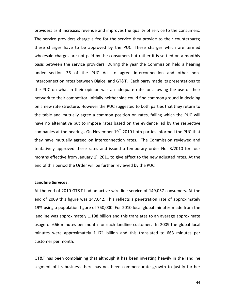providers as it increases revenue and improves the quality of service to the consumers. The service providers charge a fee for the service they provide to their counterparts; these charges have to be approved by the PUC. These charges which are termed wholesale charges are not paid by the consumers but rather it is settled on a monthly basis between the service providers. During the year the Commission held a hearing under section 36 of the PUC Act to agree interconnection and other non‐ interconnection rates between Digicel and GT&T. Each party made its presentations to the PUC on what in their opinion was an adequate rate for allowing the use of their network to their competitor. Initially neither side could find common ground in deciding on a new rate structure. However the PUC suggested to both parties that they return to the table and mutually agree a common position on rates, failing which the PUC will have no alternative but to impose rates based on the evidence led by the respective companies at the hearing.. On November  $19<sup>th</sup>$  2010 both parties informed the PUC that they have mutually agreed on interconnection rates. The Commission reviewed and tentatively approved these rates and issued a temporary order No. 3/2010 for four months effective from January  $1<sup>st</sup>$  2011 to give effect to the new adjusted rates. At the end of this period the Order will be further reviewed by the PUC.

## **Landline Services:**

At the end of 2010 GT&T had an active wire line service of 149,057 consumers. At the end of 2009 this figure was 147,042. This reflects a penetration rate of approximately 19% using a population figure of 750,000. For 2010 local global minutes made from the landline was approximately 1.198 billion and this translates to an average approximate usage of 666 minutes per month for each landline customer. In 2009 the global local minutes were approximately 1.171 billion and this translated to 663 minutes per customer per month.

GT&T has been complaining that although it has been investing heavily in the landline segment of its business there has not been commensurate growth to justify further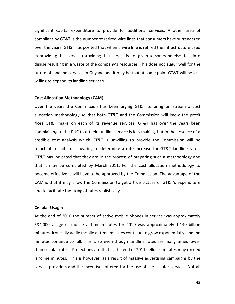significant capital expenditure to provide for additional services. Another area of compliant by GT&T is the number of retired wire lines that consumers have surrendered over the years. GT&T has posited that when a wire line is retired the infrastructure used in providing that service (providing that service is not given to someone else) falls into disuse resulting in a waste of the company's resources. This does not augur well for the future of landline services in Guyana and it may be that at some point GT&T will be less willing to expand its landline services.

#### **Cost Allocation Methodology (CAM):**

Over the years the Commission has been urging GT&T to bring on stream a cost allocation methodology so that both GT&T and the Commission will know the profit /loss GT&T make on each of its revenue services. GT&T has over the years been complaining to the PUC that their landline service is loss making, but in the absence of a credible cost analysis which GT&T is unwilling to provide the Commission will be reluctant to initiate a hearing to determine a rate increase for GT&T landline rates. GT&T has indicated that they are in the process of preparing such a methodology and that it may be completed by March 2011. For the cost allocation methodology to become effective it will have to be approved by the Commission. The advantage of the CAM is that it may allow the Commission to get a true picture of GT&T's expenditure and to facilitate the fixing of rates realistically.

#### **Cellular Usage:**

At the end of 2010 the number of active mobile phones in service was approximately 584,000 Usage of mobile airtime minutes for 2010 was approximately 1.140 billion minutes. Ironically while mobile airtime minutes continue to grow exponentially landline minutes continue to fall. This is so even though landline rates are many times lower than cellular rates. Projections are that at the end of 2011 cellular minutes may exceed landline minutes. This is however, as a result of massive advertising campaigns by the service providers and the incentives offered for the use of the cellular service. Not all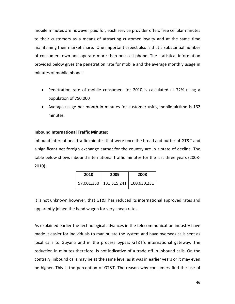mobile minutes are however paid for, each service provider offers free cellular minutes to their customers as a means of attracting customer loyalty and at the same time maintaining their market share. One important aspect also is that a substantial number of consumers own and operate more than one cell phone. The statistical information provided below gives the penetration rate for mobile and the average monthly usage in minutes of mobile phones:

- Penetration rate of mobile consumers for 2010 is calculated at 72% using a population of 750,000
- Average usage per month in minutes for customer using mobile airtime is 162 minutes.

## **Inbound International Traffic Minutes:**

Inbound international traffic minutes that were once the bread and butter of GT&T and a significant net foreign exchange earner for the country are in a state of decline. The table below shows inbound international traffic minutes for the last three years (2008‐ 2010).

| 2010 | 2009                                   | 2008 |
|------|----------------------------------------|------|
|      | 97,001,350   131,515,241   160,630,231 |      |

It is not unknown however, that GT&T has reduced its international approved rates and apparently joined the band wagon for very cheap rates.

As explained earlier the technological advances in the telecommunication industry have made it easier for individuals to manipulate the system and have overseas calls sent as local calls to Guyana and in the process bypass GT&T's international gateway. The reduction in minutes therefore, is not indicative of a trade off in inbound calls. On the contrary, inbound calls may be at the same level as it was in earlier years or it may even be higher. This is the perception of GT&T. The reason why consumers find the use of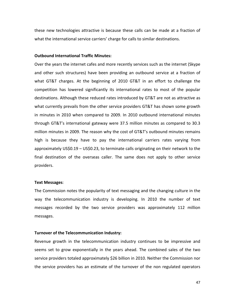these new technologies attractive is because these calls can be made at a fraction of what the international service carriers' charge for calls to similar destinations.

#### **Outbound International Traffic Minutes:**

Over the years the internet cafes and more recently services such as the internet (Skype and other such structures) have been providing an outbound service at a fraction of what GT&T charges. At the beginning of 2010 GT&T in an effort to challenge the competition has lowered significantly its international rates to most of the popular destinations. Although these reduced rates introduced by GT&T are not as attractive as what currently prevails from the other service providers GT&T has shown some growth in minutes in 2010 when compared to 2009. In 2010 outbound international minutes through GT&T's international gateway were 37.5 million minutes as compared to 30.3 million minutes in 2009. The reason why the cost of GT&T's outbound minutes remains high is because they have to pay the international carriers rates varying from approximately US\$0.19 – US\$0.23, to terminate calls originating on their network to the final destination of the overseas caller. The same does not apply to other service providers.

#### **Text Messages**:

The Commission notes the popularity of text messaging and the changing culture in the way the telecommunication industry is developing. In 2010 the number of text messages recorded by the two service providers was approximately 112 million messages.

#### **Turnover of the Telecommunication Industry:**

Revenue growth in the telecommunication industry continues to be impressive and seems set to grow exponentially in the years ahead. The combined sales of the two service providers totaled approximately \$26 billion in 2010. Neither the Commission nor the service providers has an estimate of the turnover of the non regulated operators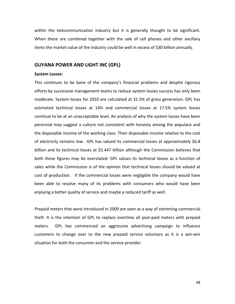within the telecommunication industry but it is generally thought to be significant. When these are combined together with the sale of cell phones and other ancillary items the market value of the industry could be well in excess of \$30 billion annually.

## **GUYANA POWER AND LIGHT INC (GPL)**

#### **System Losses:**

This continues to be bane of the company's financial problems and despite rigorous efforts by successive management teams to reduce system losses success has only been moderate. System losses for 2010 are calculated at 31.5% of gross generation. GPL has estimated technical losses at 14% and commercial losses at 17.5% system losses continue to be at an unacceptable level. An analysis of why the system losses have been perennial may suggest a culture not consistent with honesty among the populace and the disposable income of the working class. Their disposable income relative to the cost of electricity remains low. GPL has valued its commercial losses at approximately \$6.8 billion and its technical losses at \$5.447 billion although the Commission believes that both these figures may be overstated. GPL values its technical losses as a function of sales while the Commission is of the opinion that technical losses should be valued at cost of production. If the commercial losses were negligible the company would have been able to resolve many of its problems with consumers who would have been enjoying a better quality of service and maybe a reduced tariff as well.

Prepaid meters that were introduced in 2009 are seen as a way of stemming commercial theft. It is the intention of GPL to replace overtime all post‐paid meters with prepaid meters. GPL has commenced an aggressive advertising campaign to influence customers to change over to the new prepaid service voluntary as it is a win‐win situation for both the consumer and the service provider.

48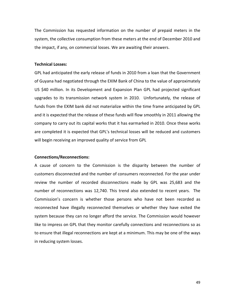The Commission has requested information on the number of prepaid meters in the system, the collective consumption from these meters at the end of December 2010 and the impact, if any, on commercial losses. We are awaiting their answers.

## **Technical Losses:**

GPL had anticipated the early release of funds in 2010 from a loan that the Government of Guyana had negotiated through the EXIM Bank of China to the value of approximately US \$40 million. In its Development and Expansion Plan GPL had projected significant upgrades to its transmission network system in 2010. Unfortunately, the release of funds from the EXIM bank did not materialize within the time frame anticipated by GPL and it is expected that the release of these funds will flow smoothly in 2011 allowing the company to carry out its capital works that it has earmarked in 2010. Once these works are completed it is expected that GPL's technical losses will be reduced and customers will begin receiving an improved quality of service from GPL

#### **Connections/Reconnections:**

A cause of concern to the Commission is the disparity between the number of customers disconnected and the number of consumers reconnected. For the year under review the number of recorded disconnections made by GPL was 25,683 and the number of reconnections was 12,740. This trend also extended to recent years. The Commission's concern is whether those persons who have not been recorded as reconnected have illegally reconnected themselves or whether they have exited the system because they can no longer afford the service. The Commission would however like to impress on GPL that they monitor carefully connections and reconnections so as to ensure that illegal reconnections are kept at a minimum. This may be one of the ways in reducing system losses.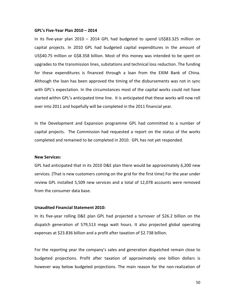#### **GPL's Five‐Year Plan 2010 – 2014**

In its five‐year plan 2010 – 2014 GPL had budgeted to spend US\$83.325 million on capital projects. In 2010 GPL had budgeted capital expenditures in the amount of US\$40.75 million or G\$8.358 billion. Most of this money was intended to be spent on upgrades to the transmission lines, substations and technical loss reduction. The funding for these expenditures is financed through a loan from the EXIM Bank of China. Although the loan has been approved the timing of the disbursements was not in sync with GPL's expectation. In the circumstances most of the capital works could not have started within GPL's anticipated time line. It is anticipated that these works will now roll over into 2011 and hopefully will be completed in the 2011 financial year.

In the Development and Expansion programme GPL had committed to a number of capital projects. The Commission had requested a report on the status of the works completed and remained to be completed in 2010. GPL has not yet responded.

#### **New Services:**

GPL had anticipated that in its 2010 D&E plan there would be approximately 6,200 new services. (That is new customers coming on the grid for the first time) For the year under review GPL installed 5,509 new services and a total of 12,078 accounts were removed from the consumer data base.

#### **Unaudited Financial Statement 2010:**

In its five‐year rolling D&E plan GPL had projected a turnover of \$26.2 billion on the dispatch generation of 579,513 mega watt hours. It also projected global operating expenses at \$23.836 billion and a profit after taxation of \$2.738 billion.

For the reporting year the company's sales and generation dispatched remain close to budgeted projections. Profit after taxation of approximately one billion dollars is however way below budgeted projections. The main reason for the non-realization of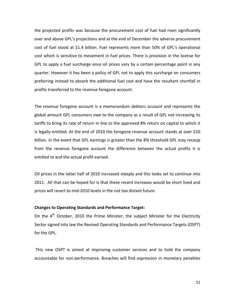the projected profits was because the procurement cost of fuel had risen significantly over and above GPL's projections and at the end of December the adverse procurement cost of fuel stood at \$1.4 billion. Fuel represents more than 50% of GPL's operational cost which is sensitive to movement in fuel prices. There is provision in the license for GPL to apply a fuel surcharge once oil prices vary by a certain percentage point in any quarter. However it has been a policy of GPL not to apply this surcharge on consumers preferring instead to absorb the additional fuel cost and have the resultant shortfall in profits transferred to the revenue foregone account.

The revenue foregone account is a memorandum debtors account and represents the global amount GPL consumers owe to the company as a result of GPL not increasing its tariffs to bring its rate of return in line to the approved 8% return on capital to which it is legally entitled. At the end of 2010 the foregone revenue account stands at over \$10 billion. In the event that GPL earnings is greater than the 8% threshold GPL may recoup from the revenue foregone account the difference between the actual profits it is entitled to and the actual profit earned.

Oil prices in the latter half of 2010 increased steeply and this looks set to continue into 2011. All that can be hoped for is that these recent increases would be short lived and prices will revert to mid‐2010 levels in the not too distant future.

#### **Changes to Operating Standards and Performance Target:**

On the  $4<sup>th</sup>$  October, 2010 the Prime Minister, the subject Minister for the Electricity Sector signed into law the Revised Operating Standards and Performance Targets (OSPT) for the GPL.

This new OSPT is aimed at improving customer services and to hold the company accountable for non‐performance. Breaches will find expression in monetary penalties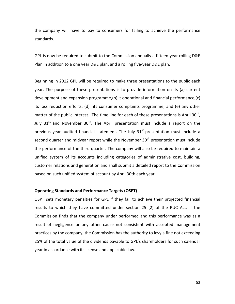the company will have to pay to consumers for failing to achieve the performance standards.

GPL is now be required to submit to the Commission annually a fifteen‐year rolling D&E Plan in addition to a one year D&E plan, and a rolling five‐year D&E plan.

Beginning in 2012 GPL will be required to make three presentations to the public each year. The purpose of these presentations is to provide information on its (a) current development and expansion programme,(b) it operational and financial performance,(c) its loss reduction efforts, (d) its consumer complaints programme, and (e) any other matter of the public interest. The time line for each of these presentations is April  $30<sup>th</sup>$ , July 31<sup>st</sup> and November 30<sup>th</sup>. The April presentation must include a report on the previous year audited financial statement. The July  $31<sup>st</sup>$  presentation must include a second quarter and midyear report while the November  $30<sup>th</sup>$  presentation must include the performance of the third quarter. The company will also be required to maintain a unified system of its accounts including categories of administrative cost, building, customer relations and generation and shall submit a detailed report to the Commission based on such unified system of account by April 30th each year.

#### **Operating Standards and Performance Targets (OSPT)**

OSPT sets monetary penalties for GPL if they fail to achieve their projected financial results to which they have committed under section 25 (2) of the PUC Act. If the Commission finds that the company under performed and this performance was as a result of negligence or any other cause not consistent with accepted management practices by the company, the Commission has the authority to levy a fine not exceeding 25% of the total value of the dividends payable to GPL's shareholders for such calendar year in accordance with its license and applicable law.